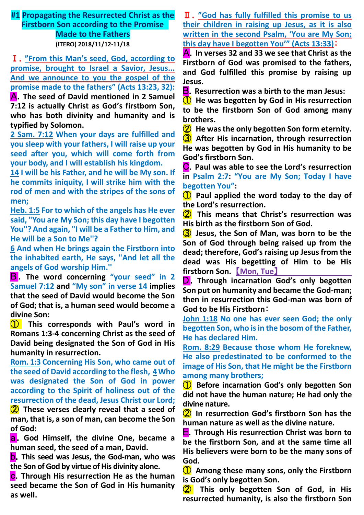# **#1 Propagating the Resurrected Christ as the Firstborn Son according to the Promise Made to the Fathers (ITERO) 2018/11/12-11/18**

Ⅰ.**"From this Man's seed, God, according to promise, brought to Israel a Savior, Jesus... And we announce to you the gospel of the promise made to the fathers" (Acts 13:23, 32):**

A.**The seed of David mentioned in 2 Samuel 7:12 is actually Christ as God's firstborn Son, who has both divinity and humanity and is typified by Solomon.**

**2 Sam. 7:12 When your days are fulfilled and you sleep with your fathers, I will raise up your seed after you, which will come forth from your body, and I will establish his kingdom.**

**14 I will be his Father, and he will be My son. If he commits iniquity, I will strike him with the rod of men and with the stripes of the sons of men;**

**Heb. 1:5 For to which of the angels has He ever said, "You are My Son; this day have I begotten You''? And again, "I will be a Father to Him, and He will be a Son to Me''?**

**6 And when He brings again the Firstborn into the inhabited earth, He says, "And let all the angels of God worship Him.''**

B . **The word concerning "your seed" in 2 Samuel 7:12 and "My son" in verse 14 implies that the seed of David would become the Son of God; that is, a human seed would become a divine Son:**

① **This corresponds with Paul's word in Romans 1:3-4 concerning Christ as the seed of David being designated the Son of God in His humanity in resurrection.**

**Rom. 1:3 Concerning His Son, who came out of the seed of David according to the flesh, 4Who was designated the Son of God in power according to the Spirit of holiness out of the resurrection of the dead, Jesus Christ our Lord;**

② **These verses clearly reveal that a seed of man, that is, a son of man, can become the Son of God:**

a.**God Himself, the divine One, became a human seed, the seed of a man, David.**

b.**This seed was Jesus, the God-man, who was the Son of God by virtue of His divinity alone.**

c.**Through His resurrection He as the human seed became the Son of God in His humanity as well.**

Ⅱ.**"God has fully fulfilled this promise to us their children in raising up Jesus, as it is also written in the second Psalm, 'You are My Son; this day have I begotten You'" (Acts 13:33)**:

A.**In verses 32 and 33 we see that Christ as the Firstborn of God was promised to the fathers, and God fulfilled this promise by raising up Jesus.**

B.**Resurrection was a birth to the man Jesus:**

① **He was begotten by God in His resurrection to be the firstborn Son of God among many brothers.**

② **He was the only begotten Son form eternity.** ③ **After His incarnation, through resurrection He was begotten by God in His humanity to be God's firstborn Son.**

C.**Paul was able to see the Lord's resurrection in Psalm 2:7: "You are My Son; Today I have begotten You":**

① **Paul applied the word today to the day of the Lord's resurrection.**

② **This means that Christ's resurrection was His birth as the firstborn Son of God.**

③ **Jesus, the Son of Man, was born to be the Son of God through being raised up from the dead; therefore, God's raising up Jesus from the dead was His begetting of Him to be His firstborn Son.** 【**Mon, Tue**】

**D**. Through incarnation God's only begotten **Son put on humanity and became the God-man; then in resurrection this God-man was born of God to be His Firstborn**:

**John 1:18 No one has ever seen God; the only begotten Son, who is in the bosom of the Father, He has declared Him.**

**Rom. 8:29 Because those whom He foreknew, He also predestinated to be conformed to the image of His Son, that He might be the Firstborn among many brothers;**

① **Before incarnation God's only begotten Son did not have the human nature; He had only the divine nature.**

② **In resurrection God's firstborn Son has the human nature as well as the divine nature.**

E.**Through His resurrection Christ was born to be the firstborn Son, and at the same time all His believers were born to be the many sons of God.**

① **Among these many sons, only the Firstborn is God's only begotten Son.**

② **This only begotten Son of God, in His resurrected humanity, is also the firstborn Son**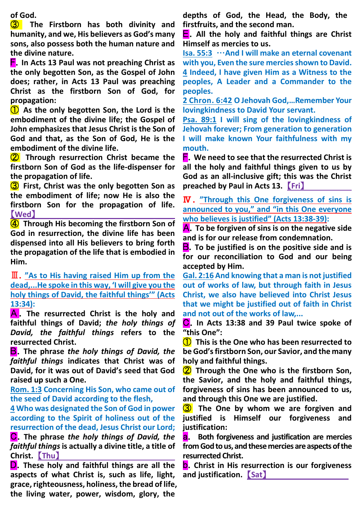**of God.**

③ **The Firstborn has both divinity and humanity, and we, His believers as God's many sons, also possess both the human nature and the divine nature.**

F.**In Acts 13 Paul was not preaching Christ as the only begotten Son, as the Gospel of John does; rather, in Acts 13 Paul was preaching Christ as the firstborn Son of God, for propagation:**

① **As the only begotten Son, the Lord is the embodiment of the divine life; the Gospel of John emphasizes that Jesus Christ is the Son of God and that, as the Son of God, He is the embodiment of the divine life.**

② **Through resurrection Christ became the firstborn Son of God as the life-dispenser for the propagation of life.**

③ **First, Christ was the only begotten Son as the embodiment of life; now He is also the firstborn Son for the propagation of life.**  【**Wed**】

④ **Through His becoming the firstborn Son of God in resurrection, the divine life has been dispensed into all His believers to bring forth the propagation of the life that is embodied in Him.**

Ⅲ.**"As to His having raised Him up from the dead,...He spoke in this way, 'I will give you the holy things of David, the faithful things'" (Acts 13:34):**

A . **The resurrected Christ is the holy and faithful things of David;** *the holy things of David, the faithful things* **refers to the resurrected Christ.**

B.**The phrase** *the holy things of David, the faithful things* **indicates that Christ was of David, for it was out of David's seed that God raised up such a One.**

**Rom. 1:3 Concerning His Son, who came out of the seed of David according to the flesh,**

**4 Who was designated the Son of God in power according to the Spirit of holiness out of the resurrection of the dead, Jesus Christ our Lord;**

C.**The phrase** *the holy things of David, the faithful things***is actually a divine title, a title of Christ.** 【**Thu**】

D.**These holy and faithful things are all the aspects of what Christ is, such as life, light, grace, righteousness, holiness, the bread of life, the living water, power, wisdom, glory, the** 

**depths of God, the Head, the Body, the firstfruits, and the second man.**

E.**All the holy and faithful things are Christ Himself as mercies to us.**

**Isa. 55:3** …**And I will make an eternal covenant with you, Even the sure mercies shown to David. 4 Indeed, I have given Him as a Witness to the peoples, A Leader and a Commander to the peoples.**

**2 Chron. 6:42 O Jehovah God,…Remember Your lovingkindness to David Your servant.**

**Psa. 89:1 I will sing of the lovingkindness of Jehovah forever; From generation to generation I will make known Your faithfulness with my mouth.**

F.**We need to see that the resurrected Christ is all the holy and faithful things given to us by God as an all-inclusive gift; this was the Christ preached by Paul in Acts 13.** 【**Fri**】

Ⅳ.**"Through this One forgiveness of sins is announced to you," and "in this One everyone who believes is justified" (Acts 13:38-39):**

A.**To be forgiven of sins is on the negative side and is for our release from condemnation.**

**B**. To be justified is on the positive side and is **for our reconciliation to God and our being accepted by Him.**

**Gal. 2:16 And knowing that a man is not justified out of works of law, but through faith in Jesus Christ, we also have believed into Christ Jesus that we might be justified out of faith in Christ and not out of the works of law,...**

C.**In Acts 13:38 and 39 Paul twice spoke of "this One":**

① **This is the One who has been resurrected to be God's firstborn Son, our Savior, and the many holy and faithful things.**

② **Through the One who is the firstborn Son, the Savior, and the holy and faithful things, forgiveness of sins has been announced to us, and through this One we are justified.**

③ **The One by whom we are forgiven and justified is Himself our forgiveness and justification:**

a. **Both forgiveness and justification are mercies from God to us, and these mercies are aspects of the resurrected Christ.**

b.**Christ in His resurrection is our forgiveness and justification.** 【**Sat**】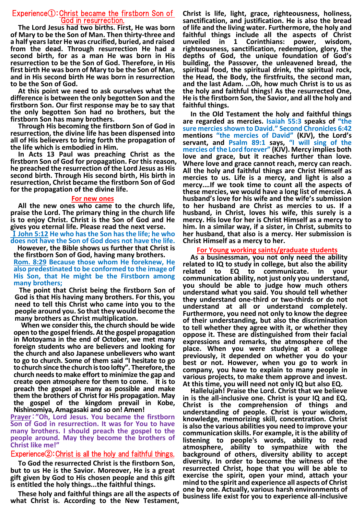## Experience①:Christ became the firstborn Son of God in resurrection.

**The Lord Jesus had two births. First, He was born of Mary to be the Son of Man. Then thirty-three and a half years later He was crucified, buried, and raised from the dead. Through resurrection He had a second birth, for as a man He was born in His resurrection to be the Son of God. Therefore, in His first birth He was born of Mary to be the Son of Man, and in His second birth He was born in resurrection to be the Son of God.**

**At this point we need to ask ourselves what the difference is between the only begotten Son and the firstborn Son. Our first response may be to say that the only begotten Son had no brothers, but the firstborn Son has many brothers.**

**Through His becoming the firstborn Son of God in resurrection, the divine life has been dispensed into all of His believers to bring forth the propagation of the life which is embodied in Him.**

**In Acts 13 Paul was preaching Christ as the firstborn Son of God for propagation. For this reason, he preached the resurrection of the Lord Jesus as His second birth. Through His second birth, His birth in resurrection, Christ became the firstborn Son of God for the propagation of the divine life.**

#### **For new ones**

**All the new ones who came to the church life, praise the Lord. The primary thing in the church life is to enjoy Christ. Christ is the Son of God and He gives you eternal life. Please read the next verse.** 

Ⅰ**John 5:12 He who has the Son has the life; he who does not have the Son of God does not have the life.** 

**However, the Bible shows us further that Christ is the firstborn Son of God, having many brothers. Rom. 8:29 Because those whom He foreknew, He also predestinated to be conformed to the image of His Son, that He might be the Firstborn among many brothers;**

**The point that Christ being the firstborn Son of God is that His having many brothers. For this, you need to tell this Christ who came into you to the people around you. So that they would become the many brothers as Christ multiplication.**

**When we consider this, the church should be wide open to the gospel friends. At the gospel propagation in Motoyama in the end of October, we met many foreign students who are believers and looking for the church and also Japanese unbelievers who want to go to church. Some of them said "I hesitate to go to church since the church is too lofty". Therefore,the church needs to make effort to minimize the gap and create open atmosphere for them to come. It is to preach the gospel as many as possible and make them the brothers of Christ for His propagation. May the gospel of the kingdom prevail in Kobe, Nishinomiya, Amagasaki and so on! Amen!**

**Prayer**:**"Oh, Lord Jesus. You became the firstborn Son of God in resurrection. It was for You to have many brothers. I should preach the gospel to the people around. May they become the brothers of Christ like me!"**

## Experience②:Christ is all the holy and faithful things.

**To God the resurrected Christ is the firstborn Son, but to us He is the Savior. Moreover, He is a great gift given by God to His chosen people and this gift is entitled the holy things...the faithful things.**

**These holy and faithful things are all the aspects of what Christ is. According to the New Testament,** 

**Christ is life, light, grace, righteousness, holiness, sanctification, and justification. He is also the bread of life and the living water. Furthermore, the holy and faithful things include all the aspects of Christ unveiled in 1 Corinthians: power, wisdom, righteousness, sanctification, redemption, glory, the depths of God, the unique foundation of God's building, the Passover, the unleavened bread, the spiritual food, the spiritual drink, the spiritual rock, the Head, the Body, the firstfruits, the second man, and the last Adam. …Oh, how much Christ is to us as the holy and faithful things! As the resurrected One, He is the firstborn Son, the Savior, and all the holy and faithful things.**

**In the Old Testament the holy and faithful things are regarded as mercies. Isaiah 55:3 speaks of "the sure mercies shown to David." Second Chronicles 6:42 mentions "the mercies of David" (KJV), the Lord's servant, and Psalm 89:1 says, "I will sing of the mercies of the Lord forever" (KJV). Mercy implies both love and grace, but it reaches further than love. Where love and grace cannot reach, mercy can reach. All the holy and faithful things are Christ Himself as mercies to us. Life is a mercy, and light is also a mercy.…If we took time to count all the aspects of these mercies, we would have a long list of mercies. A husband's love for his wife and the wife's submission to her husband are Christ as mercies to us. If a husband, in Christ, loves his wife, this surely is a mercy. His love for her is Christ Himself as a mercy to him. In a similar way, if a sister, in Christ, submits to her husband, that also is a mercy. Her submission is Christ Himself as a mercy to her.**

### **For Young working saints/graduate students**

**As a businessman, you not only need the ability related to IQ to study in college, but also the ability related to EQ to communicate. In your communication ability, not just only you understand, you should be able to judge how much others understand what you said. You should tell whether they understand one-third or two-thirds or do not understand at all or understand completely. Furthermore, you need not only to know the degree of their understanding, but also the discrimination to tell whether they agree with it, or whether they oppose it. These are distinguished from their facial expressions and remarks, the atmosphere of the place. When you were studying at a college previously, it depended on whether you do your best or not. However, when you go to work in company, you have to explain to many people in various projects, to make them approve and invest. At this time, you will need not only IQ but also EQ.**

**Hallelujah! Praise the Lord. Christ that we believe in is the all-inclusive one. Christ is your IQ and EQ. Christ is the comprehension of things and understanding of people. Christ is your wisdom, knowledge, memorizing skill, concentration. Christ is also the various abilities you need to improve your communication skills. For example, it is the ability of listening to people's words, ability to read atmosphere, ability to sympathize with the background of others, diversity ability to accept diversity. In order to become the witness of the resurrected Christ, hope that you will be able to exercise the spirit, open your mind, attach your mind to the spirit and experience all aspects of Christ one by one. Actually, various harsh environments of business life exist for you to experience all-inclusive**